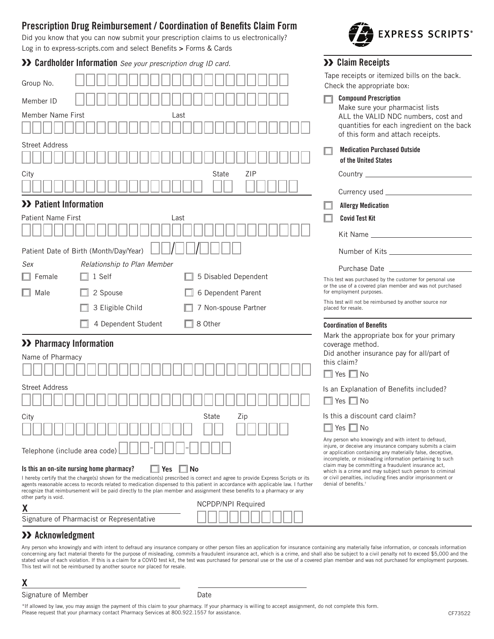# **Prescription Drug Reimbursement / Coordination of Benefts Claim Form**

Did you know that you can now submit your prescription claims to us electronically? Log in to [express-scripts.com](https://express-scripts.com) and select Benefts **>** Forms & Cards

**Cardholder Information** *See your prescription drug ID card.*

| Group No.                                                                                                                                                                                                                                                                                                                                                                                                                 |                                                                                                                 | Tape receipts or itemized bills on the back.<br>Check the appropriate box:                                                                                                                                                          |  |
|---------------------------------------------------------------------------------------------------------------------------------------------------------------------------------------------------------------------------------------------------------------------------------------------------------------------------------------------------------------------------------------------------------------------------|-----------------------------------------------------------------------------------------------------------------|-------------------------------------------------------------------------------------------------------------------------------------------------------------------------------------------------------------------------------------|--|
| Member ID                                                                                                                                                                                                                                                                                                                                                                                                                 |                                                                                                                 | <b>Compound Prescription</b>                                                                                                                                                                                                        |  |
| <b>Member Name First</b>                                                                                                                                                                                                                                                                                                                                                                                                  | Last                                                                                                            | Make sure your pharmacist lists<br>ALL the VALID NDC numbers, cost and<br>quantities for each ingredient on the back<br>of this form and attach receipts.                                                                           |  |
| <b>Street Address</b>                                                                                                                                                                                                                                                                                                                                                                                                     |                                                                                                                 | <b>Medication Purchased Outside</b><br>of the United States                                                                                                                                                                         |  |
| City                                                                                                                                                                                                                                                                                                                                                                                                                      | <b>ZIP</b><br>State                                                                                             | Country _______________________                                                                                                                                                                                                     |  |
|                                                                                                                                                                                                                                                                                                                                                                                                                           |                                                                                                                 |                                                                                                                                                                                                                                     |  |
| >> Patient Information                                                                                                                                                                                                                                                                                                                                                                                                    |                                                                                                                 | <b>Allergy Medication</b>                                                                                                                                                                                                           |  |
| <b>Patient Name First</b><br>Last                                                                                                                                                                                                                                                                                                                                                                                         |                                                                                                                 | <b>Covid Test Kit</b>                                                                                                                                                                                                               |  |
|                                                                                                                                                                                                                                                                                                                                                                                                                           |                                                                                                                 | Kit Name <b>Kit Name</b>                                                                                                                                                                                                            |  |
| Patient Date of Birth (Month/Day/Year)                                                                                                                                                                                                                                                                                                                                                                                    |                                                                                                                 | Number of Kits <b>Show School</b> State State State State State State State State State State State State State State State State State State State State State State State State State State State State State State State State S |  |
| Relationship to Plan Member<br>Sex                                                                                                                                                                                                                                                                                                                                                                                        |                                                                                                                 |                                                                                                                                                                                                                                     |  |
| 1 Self<br>Female                                                                                                                                                                                                                                                                                                                                                                                                          | 5 Disabled Dependent                                                                                            | Purchase Date _____<br>This test was purchased by the customer for personal use                                                                                                                                                     |  |
| 2 Spouse<br>Male                                                                                                                                                                                                                                                                                                                                                                                                          | 6 Dependent Parent                                                                                              | or the use of a covered plan member and was not purchased<br>for employment purposes.                                                                                                                                               |  |
| 3 Eligible Child                                                                                                                                                                                                                                                                                                                                                                                                          | 7 Non-spouse Partner                                                                                            | This test will not be reimbursed by another source nor<br>placed for resale.                                                                                                                                                        |  |
| 4 Dependent Student                                                                                                                                                                                                                                                                                                                                                                                                       | 8 Other                                                                                                         | <b>Coordination of Benefits</b>                                                                                                                                                                                                     |  |
| >> Pharmacy Information                                                                                                                                                                                                                                                                                                                                                                                                   |                                                                                                                 | Mark the appropriate box for your primary                                                                                                                                                                                           |  |
| Name of Pharmacy                                                                                                                                                                                                                                                                                                                                                                                                          | coverage method.<br>Did another insurance pay for all/part of                                                   |                                                                                                                                                                                                                                     |  |
|                                                                                                                                                                                                                                                                                                                                                                                                                           |                                                                                                                 | this claim?                                                                                                                                                                                                                         |  |
|                                                                                                                                                                                                                                                                                                                                                                                                                           |                                                                                                                 | $\Box$ Yes $\Box$ No                                                                                                                                                                                                                |  |
| <b>Street Address</b>                                                                                                                                                                                                                                                                                                                                                                                                     | Is an Explanation of Benefits included?                                                                         |                                                                                                                                                                                                                                     |  |
|                                                                                                                                                                                                                                                                                                                                                                                                                           |                                                                                                                 | $\Box$ Yes $\Box$ No                                                                                                                                                                                                                |  |
| State<br>City<br>Zip                                                                                                                                                                                                                                                                                                                                                                                                      |                                                                                                                 | Is this a discount card claim?                                                                                                                                                                                                      |  |
|                                                                                                                                                                                                                                                                                                                                                                                                                           |                                                                                                                 | $\Box$ Yes $\Box$ No<br>Any person who knowingly and with intent to defraud,                                                                                                                                                        |  |
| Telephone (include area code)                                                                                                                                                                                                                                                                                                                                                                                             |                                                                                                                 | injure, or deceive any insurance company submits a claim<br>or application containing any materially false, deceptive,<br>incomplete, or misleading information pertaining to such                                                  |  |
| Is this an on-site nursing home pharmacy?<br>$\Box$ Yes                                                                                                                                                                                                                                                                                                                                                                   | claim may be committing a fraudulent insurance act,<br>which is a crime and may subject such person to criminal |                                                                                                                                                                                                                                     |  |
| I hereby certify that the charge(s) shown for the medication(s) prescribed is correct and agree to provide Express Scripts or its<br>agents reasonable access to records related to medication dispensed to this patient in accordance with applicable law. I further<br>recognize that reimbursement will be paid directly to the plan member and assignment these benefits to a pharmacy or any<br>other party is void. | or civil penalties, including fines and/or imprisonment or<br>denial of benefits. <sup>1</sup>                  |                                                                                                                                                                                                                                     |  |
| χ                                                                                                                                                                                                                                                                                                                                                                                                                         | <b>NCPDP/NPI Required</b>                                                                                       |                                                                                                                                                                                                                                     |  |
| Signature of Pharmacist or Representative                                                                                                                                                                                                                                                                                                                                                                                 |                                                                                                                 |                                                                                                                                                                                                                                     |  |

## **Acknowledgment**

Signature of Pharmacist or Representative

Any person who knowingly and with intent to defraud any insurance company or other person files an application for insurance containing any materially false information, or conceals information concerning any fact material thereto for the purpose of misleading, commits a fraudulent insurance act, which is a crime, and shall also be subject to a civil penalty not to exceed \$5,000 and the stated value of each violation. If this is a claim for a COVID test kit, the test was purchased for personal use or the use of a covered plan member and was not purchased for employment purposes. This test will not be reimbursed by another source nor placed for resale.

**X** 

Signature of Member **Date** Date

\*If allowed by law, you may assign the payment of this claim to your pharmacy. If your pharmacy is willing to accept assignment, do not complete this form.<br>Please request that your pharmacy contact Pharmacy Services at 800



**Claim Receipts**